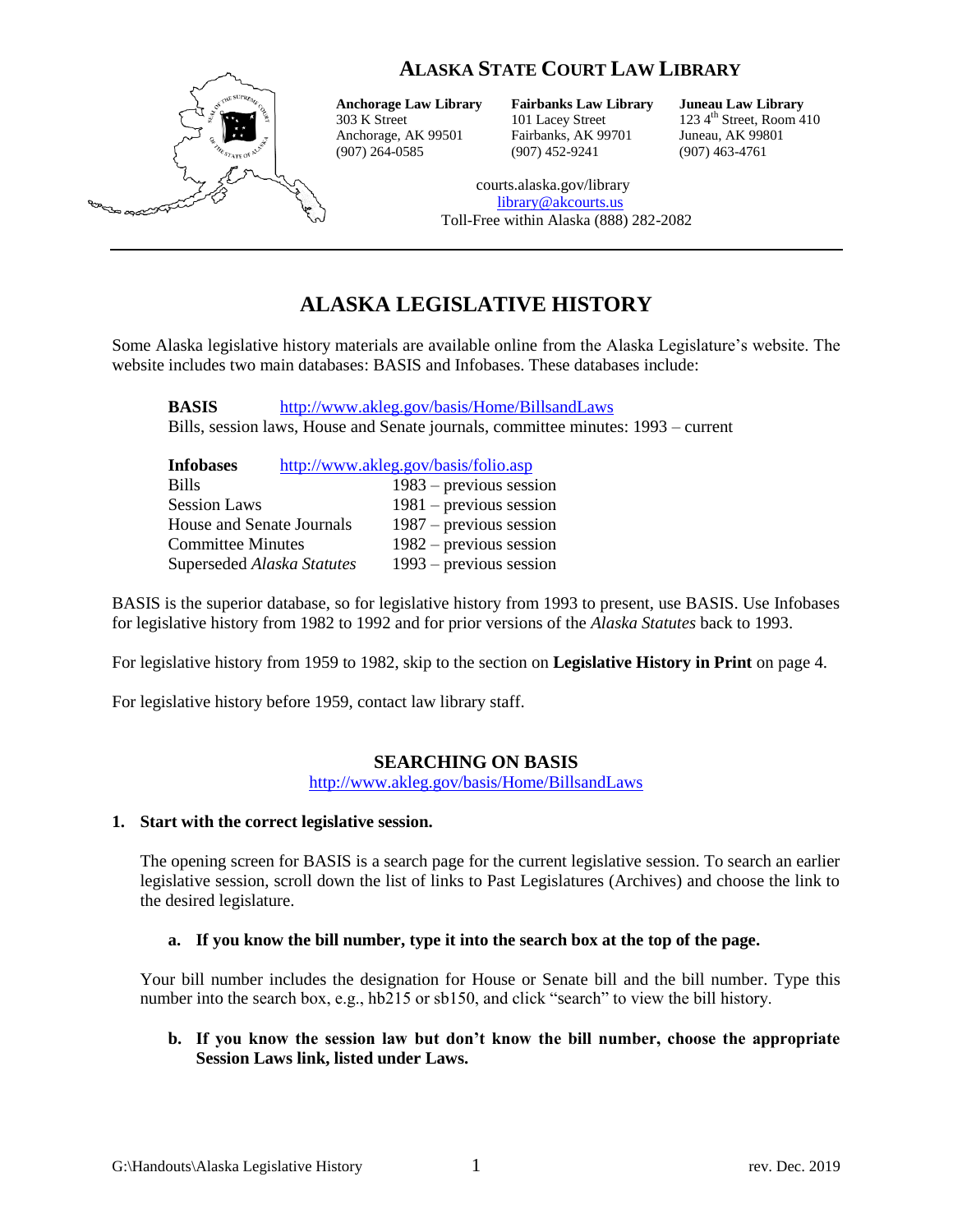# **ALASKA STATE COURT LAW LIBRARY**



**Anchorage Law Library Fairbanks Law Library Juneau Law Library** Anchorage, AK 99501 Fairbanks, AK 99701 Juneau, AK 99801

(907) 264-0585 (907) 452-9241 (907) 463-4761

 $123\,4^{\text{th}}$  Street, Room 410

courts.alaska.gov/library [library@akcourts.us](mailto:library@akcourts.us) Toll-Free within Alaska (888) 282-2082

# **ALASKA LEGISLATIVE HISTORY**

Some Alaska legislative history materials are available online from the Alaska Legislature's website. The website includes two main databases: BASIS and Infobases. These databases include:

**BASIS** <http://www.akleg.gov/basis/Home/BillsandLaws> Bills, session laws, House and Senate journals, committee minutes: 1993 – current

| <b>Infobases</b>           | http://www.akleg.gov/basis/folio.asp |
|----------------------------|--------------------------------------|
| <b>Bills</b>               | $1983$ – previous session            |
| <b>Session Laws</b>        | $1981$ – previous session            |
| House and Senate Journals  | $1987$ – previous session            |
| <b>Committee Minutes</b>   | $1982$ – previous session            |
| Superseded Alaska Statutes | $1993$ – previous session            |

BASIS is the superior database, so for legislative history from 1993 to present, use BASIS. Use Infobases for legislative history from 1982 to 1992 and for prior versions of the *Alaska Statutes* back to 1993.

For legislative history from 1959 to 1982, skip to the section on **Legislative History in Print** on page 4.

For legislative history before 1959, contact law library staff.

# **SEARCHING ON BASIS**

<http://www.akleg.gov/basis/Home/BillsandLaws>

#### **1. Start with the correct legislative session.**

The opening screen for BASIS is a search page for the current legislative session. To search an earlier legislative session, scroll down the list of links to Past Legislatures (Archives) and choose the link to the desired legislature.

#### **a. If you know the bill number, type it into the search box at the top of the page.**

Your bill number includes the designation for House or Senate bill and the bill number. Type this number into the search box, e.g., hb215 or sb150, and click "search" to view the bill history.

#### **b. If you know the session law but don't know the bill number, choose the appropriate Session Laws link, listed under Laws.**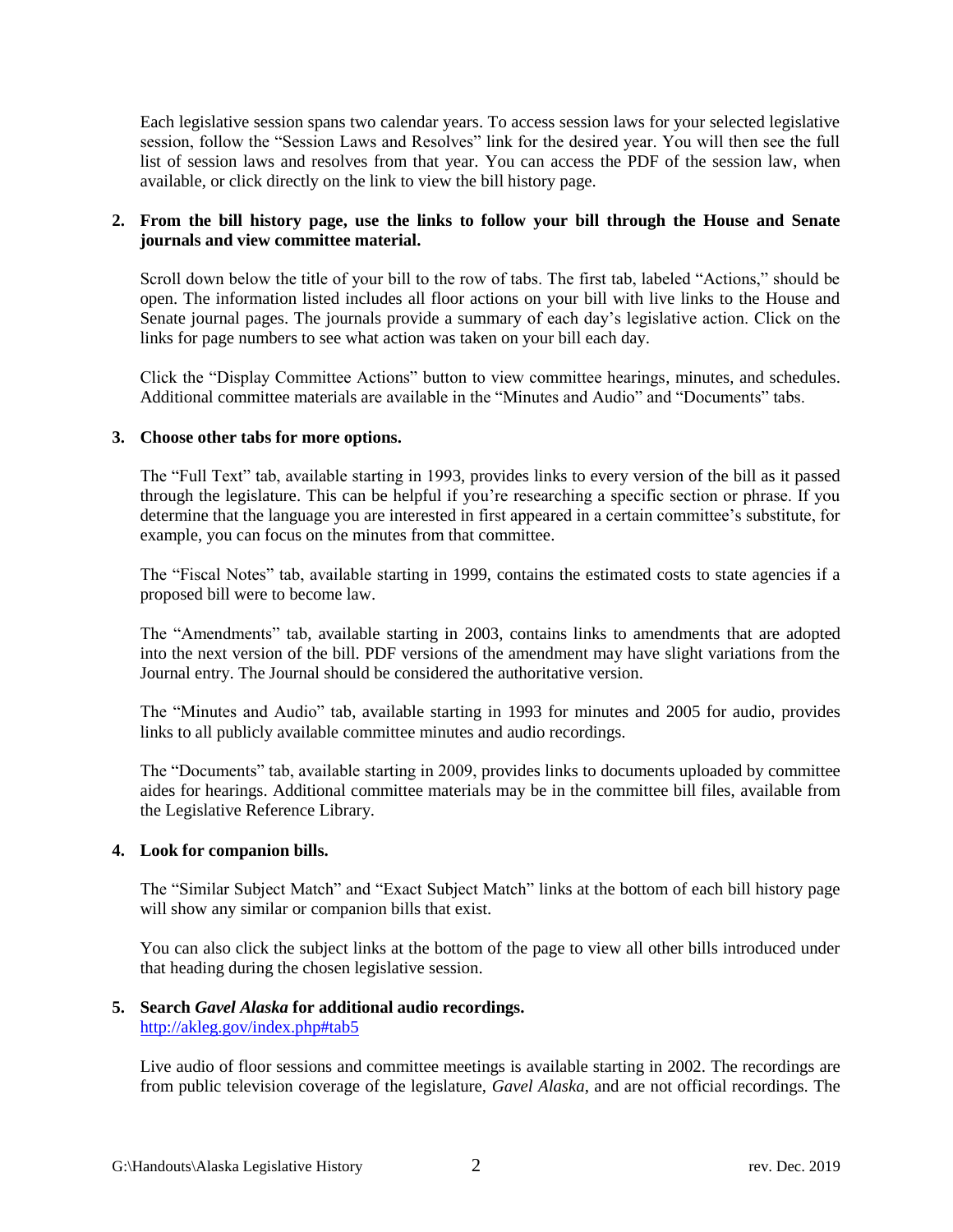Each legislative session spans two calendar years. To access session laws for your selected legislative session, follow the "Session Laws and Resolves" link for the desired year. You will then see the full list of session laws and resolves from that year. You can access the PDF of the session law, when available, or click directly on the link to view the bill history page.

# **2. From the bill history page, use the links to follow your bill through the House and Senate journals and view committee material.**

Scroll down below the title of your bill to the row of tabs. The first tab, labeled "Actions," should be open. The information listed includes all floor actions on your bill with live links to the House and Senate journal pages. The journals provide a summary of each day's legislative action. Click on the links for page numbers to see what action was taken on your bill each day.

Click the "Display Committee Actions" button to view committee hearings, minutes, and schedules. Additional committee materials are available in the "Minutes and Audio" and "Documents" tabs.

# **3. Choose other tabs for more options.**

The "Full Text" tab, available starting in 1993, provides links to every version of the bill as it passed through the legislature. This can be helpful if you're researching a specific section or phrase. If you determine that the language you are interested in first appeared in a certain committee's substitute, for example, you can focus on the minutes from that committee.

The "Fiscal Notes" tab, available starting in 1999, contains the estimated costs to state agencies if a proposed bill were to become law.

The "Amendments" tab, available starting in 2003, contains links to amendments that are adopted into the next version of the bill. PDF versions of the amendment may have slight variations from the Journal entry. The Journal should be considered the authoritative version.

The "Minutes and Audio" tab, available starting in 1993 for minutes and 2005 for audio, provides links to all publicly available committee minutes and audio recordings.

The "Documents" tab, available starting in 2009, provides links to documents uploaded by committee aides for hearings. Additional committee materials may be in the committee bill files, available from the Legislative Reference Library.

# **4. Look for companion bills.**

The "Similar Subject Match" and "Exact Subject Match" links at the bottom of each bill history page will show any similar or companion bills that exist.

You can also click the subject links at the bottom of the page to view all other bills introduced under that heading during the chosen legislative session.

#### **5. Search** *Gavel Alaska* **for additional audio recordings.** <http://akleg.gov/index.php#tab5>

Live audio of floor sessions and committee meetings is available starting in 2002. The recordings are from public television coverage of the legislature, *Gavel Alaska*, and are not official recordings. The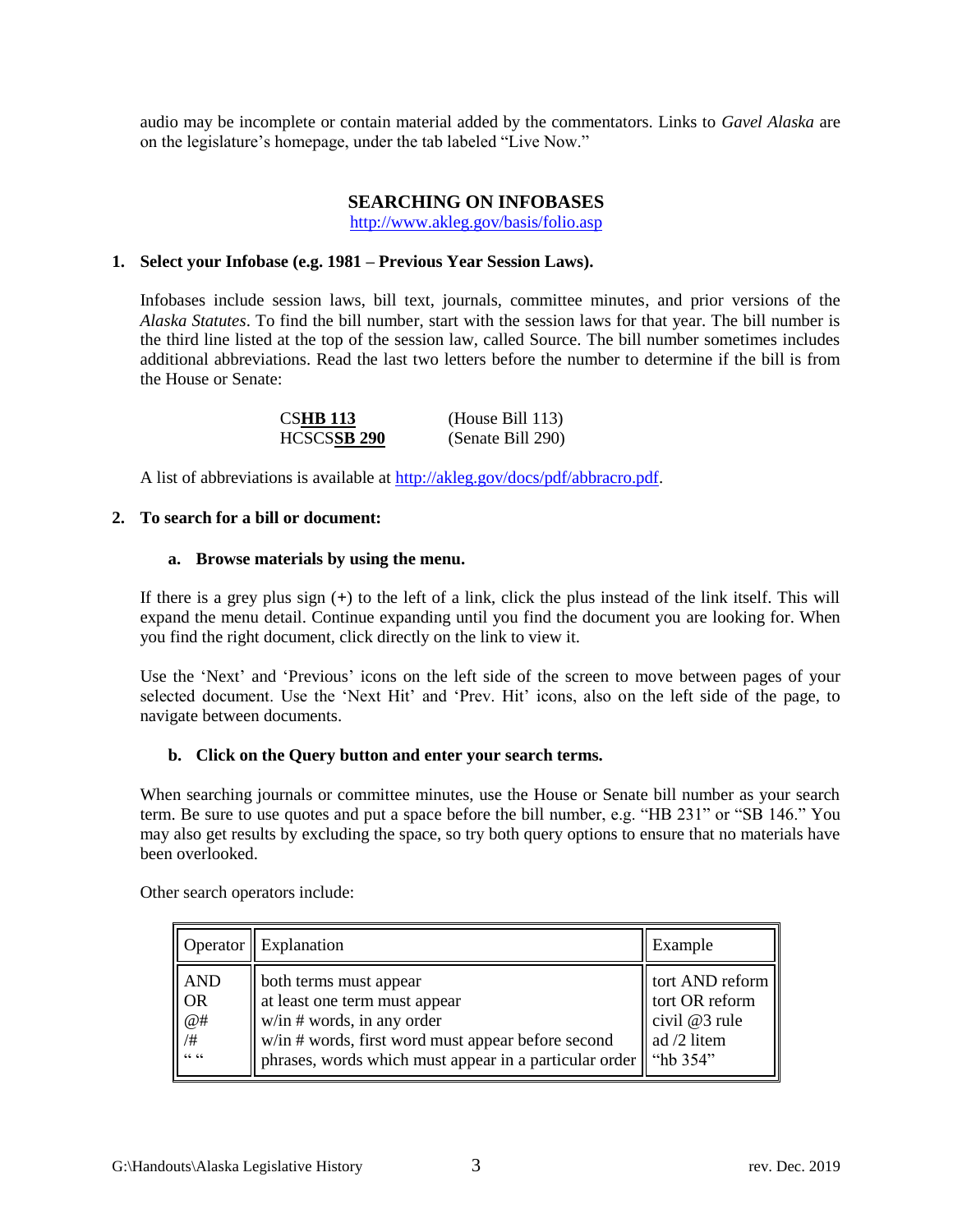audio may be incomplete or contain material added by the commentators. Links to *Gavel Alaska* are on the legislature's homepage, under the tab labeled "Live Now."

# **SEARCHING ON INFOBASES**

<http://www.akleg.gov/basis/folio.asp>

# **1. Select your Infobase (e.g. 1981 – Previous Year Session Laws).**

Infobases include session laws, bill text, journals, committee minutes, and prior versions of the *Alaska Statutes*. To find the bill number, start with the session laws for that year. The bill number is the third line listed at the top of the session law, called Source. The bill number sometimes includes additional abbreviations. Read the last two letters before the number to determine if the bill is from the House or Senate:

| <b>CSHB 113</b> | (House Bill $113$ ) |
|-----------------|---------------------|
| HCSCSSB 290     | (Senate Bill 290)   |

A list of abbreviations is available at [http://akleg.gov/docs/pdf/abbracro.pdf.](http://akleg.gov/docs/pdf/abbracro.pdf)

# **2. To search for a bill or document:**

#### **a. Browse materials by using the menu.**

If there is a grey plus sign (**+**) to the left of a link, click the plus instead of the link itself. This will expand the menu detail. Continue expanding until you find the document you are looking for. When you find the right document, click directly on the link to view it.

Use the 'Next' and 'Previous' icons on the left side of the screen to move between pages of your selected document. Use the 'Next Hit' and 'Prev. Hit' icons, also on the left side of the page, to navigate between documents.

# **b. Click on the Query button and enter your search terms.**

When searching journals or committee minutes, use the House or Senate bill number as your search term. Be sure to use quotes and put a space before the bill number, e.g. "HB 231" or "SB 146." You may also get results by excluding the space, so try both query options to ensure that no materials have been overlooked.

Other search operators include:

|                                                                    | Operator   Explanation                                                                                                                                                                                                                      | Example                                                           |
|--------------------------------------------------------------------|---------------------------------------------------------------------------------------------------------------------------------------------------------------------------------------------------------------------------------------------|-------------------------------------------------------------------|
| <b>AND</b><br>$\overline{\text{OR}}$<br>@#<br>$\mid$ /#<br>،، ،، ا | looth terms must appear<br>at least one term must appear<br>$\vert$ w/in # words, in any order<br>$\ $ w/in # words, first word must appear before second<br>   phrases, words which must appear in a particular order $\parallel$ "hb 354" | tort AND reform<br>tort OR reform<br>civil @3 rule<br>ad /2 litem |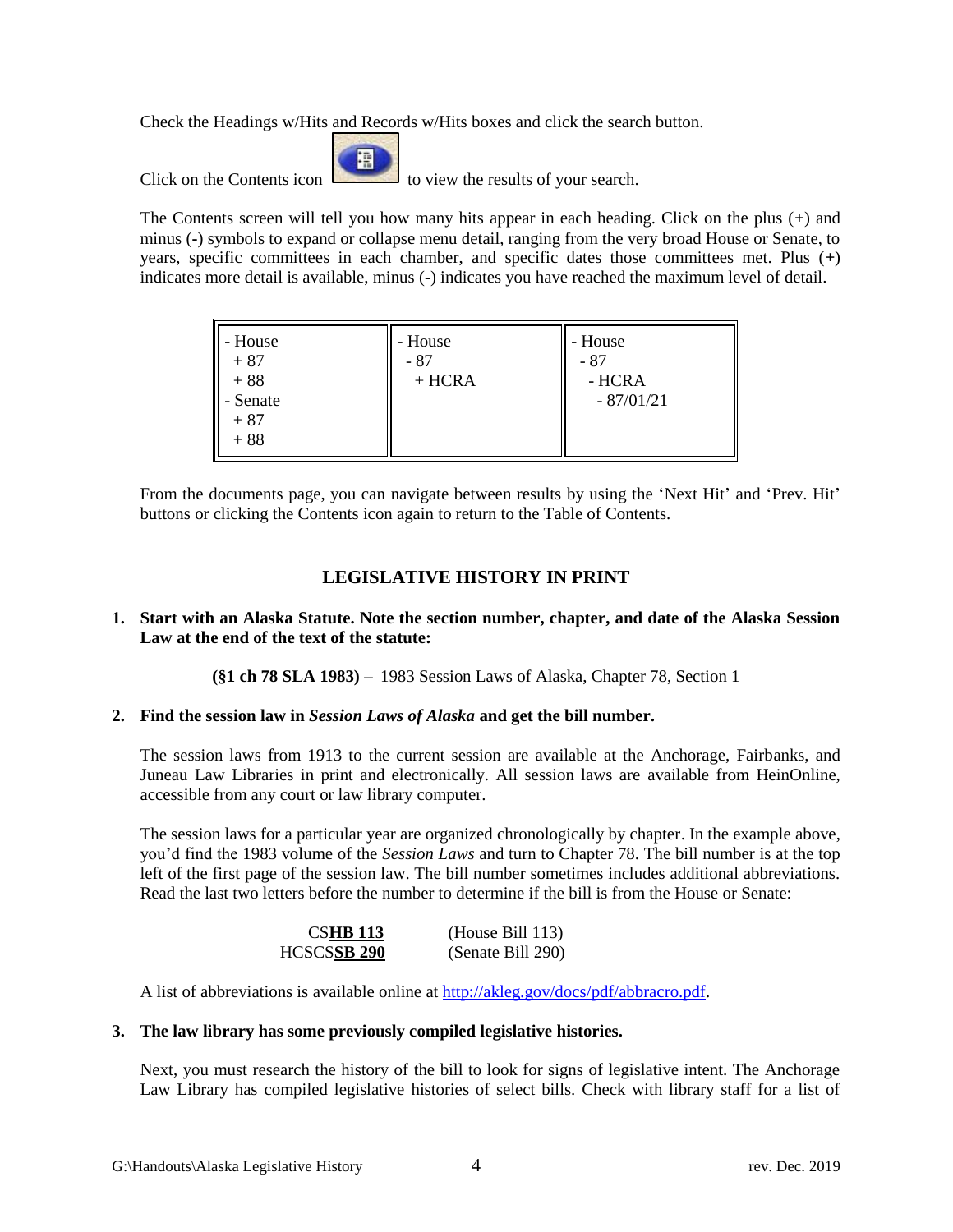Check the Headings w/Hits and Records w/Hits boxes and click the search button.

屑

Click on the Contents icon the Contents in the view the results of your search.

The Contents screen will tell you how many hits appear in each heading. Click on the plus (**+**) and minus (**-**) symbols to expand or collapse menu detail, ranging from the very broad House or Senate, to years, specific committees in each chamber, and specific dates those committees met. Plus (**+**) indicates more detail is available, minus (**-**) indicates you have reached the maximum level of detail.

| - House<br>$+87$<br>$+88$<br>- Senate<br>$+87$ | - House<br>- 87<br>$+ HCRA$ | - House<br>- 87<br>- HCRA<br>$-87/01/21$ |
|------------------------------------------------|-----------------------------|------------------------------------------|
| $+88$                                          |                             |                                          |

From the documents page, you can navigate between results by using the 'Next Hit' and 'Prev. Hit' buttons or clicking the Contents icon again to return to the Table of Contents.

# **LEGISLATIVE HISTORY IN PRINT**

# **1. Start with an Alaska Statute. Note the section number, chapter, and date of the Alaska Session Law at the end of the text of the statute:**

**(§1 ch 78 SLA 1983) –** 1983 Session Laws of Alaska, Chapter 78, Section 1

# **2. Find the session law in** *Session Laws of Alaska* **and get the bill number.**

The session laws from 1913 to the current session are available at the Anchorage, Fairbanks, and Juneau Law Libraries in print and electronically. All session laws are available from HeinOnline, accessible from any court or law library computer.

The session laws for a particular year are organized chronologically by chapter. In the example above, you'd find the 1983 volume of the *Session Laws* and turn to Chapter 78. The bill number is at the top left of the first page of the session law. The bill number sometimes includes additional abbreviations. Read the last two letters before the number to determine if the bill is from the House or Senate:

| <b>CSHB 113</b>    | (House Bill 113)  |
|--------------------|-------------------|
| <b>HCSCSSB 290</b> | (Senate Bill 290) |

A list of abbreviations is available online at [http://akleg.gov/docs/pdf/abbracro.pdf.](http://akleg.gov/docs/pdf/abbracro.pdf)

# **3. The law library has some previously compiled legislative histories.**

Next, you must research the history of the bill to look for signs of legislative intent. The Anchorage Law Library has compiled legislative histories of select bills. Check with library staff for a list of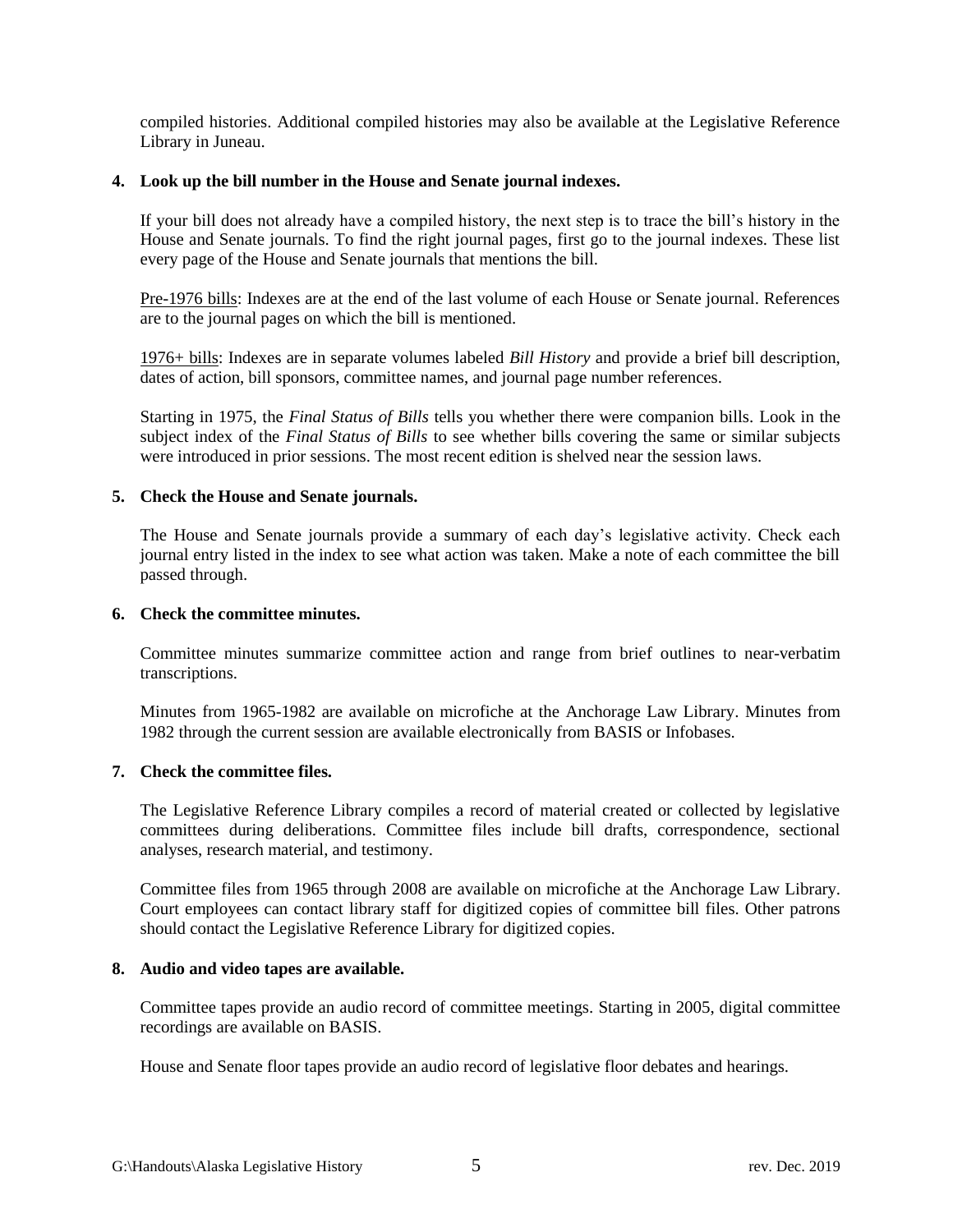compiled histories. Additional compiled histories may also be available at the Legislative Reference Library in Juneau.

# **4. Look up the bill number in the House and Senate journal indexes.**

If your bill does not already have a compiled history, the next step is to trace the bill's history in the House and Senate journals. To find the right journal pages, first go to the journal indexes. These list every page of the House and Senate journals that mentions the bill.

Pre-1976 bills: Indexes are at the end of the last volume of each House or Senate journal. References are to the journal pages on which the bill is mentioned.

1976+ bills: Indexes are in separate volumes labeled *Bill History* and provide a brief bill description, dates of action, bill sponsors, committee names, and journal page number references.

Starting in 1975, the *Final Status of Bills* tells you whether there were companion bills. Look in the subject index of the *Final Status of Bills* to see whether bills covering the same or similar subjects were introduced in prior sessions. The most recent edition is shelved near the session laws.

# **5. Check the House and Senate journals.**

The House and Senate journals provide a summary of each day's legislative activity. Check each journal entry listed in the index to see what action was taken. Make a note of each committee the bill passed through.

#### **6. Check the committee minutes.**

Committee minutes summarize committee action and range from brief outlines to near-verbatim transcriptions.

Minutes from 1965-1982 are available on microfiche at the Anchorage Law Library. Minutes from 1982 through the current session are available electronically from BASIS or Infobases.

# **7. Check the committee files.**

The Legislative Reference Library compiles a record of material created or collected by legislative committees during deliberations. Committee files include bill drafts, correspondence, sectional analyses, research material, and testimony.

Committee files from 1965 through 2008 are available on microfiche at the Anchorage Law Library. Court employees can contact library staff for digitized copies of committee bill files. Other patrons should contact the Legislative Reference Library for digitized copies.

#### **8. Audio and video tapes are available.**

Committee tapes provide an audio record of committee meetings. Starting in 2005, digital committee recordings are available on BASIS.

House and Senate floor tapes provide an audio record of legislative floor debates and hearings.